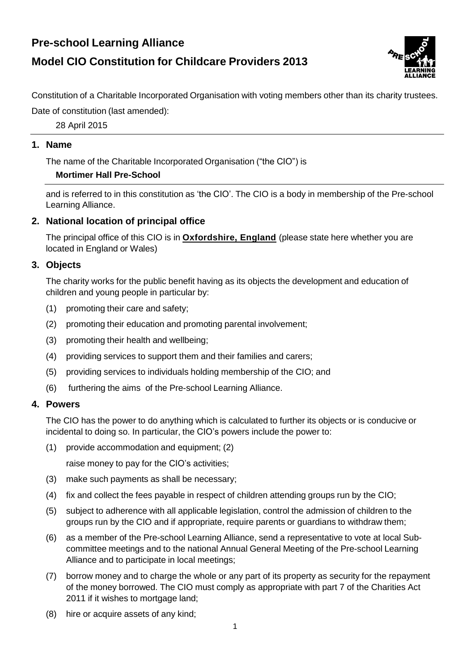# **Pre-school Learning Alliance Model CIO Constitution for Childcare Providers 2013**



Constitution of a Charitable Incorporated Organisation with voting members other than its charity trustees.

Date of constitution (last amended):

28 April 2015

## **1. Name**

The name of the Charitable Incorporated Organisation ("the CIO") is

## **Mortimer Hall Pre-School**

and is referred to in this constitution as 'the CIO'. The CIO is a body in membership of the Pre-school Learning Alliance.

# **2. National location of principal office**

The principal office of this CIO is in **Oxfordshire, England** (please state here whether you are located in England or Wales)

# **3. Objects**

The charity works for the public benefit having as its objects the development and education of children and young people in particular by:

- (1) promoting their care and safety;
- (2) promoting their education and promoting parental involvement;
- (3) promoting their health and wellbeing;
- (4) providing services to support them and their families and carers;
- (5) providing services to individuals holding membership of the CIO; and
- (6) furthering the aims of the Pre-school Learning Alliance.

## **4. Powers**

The CIO has the power to do anything which is calculated to further its objects or is conducive or incidental to doing so. In particular, the CIO's powers include the power to:

(1) provide accommodation and equipment; (2)

raise money to pay for the CIO's activities;

- (3) make such payments as shall be necessary;
- (4) fix and collect the fees payable in respect of children attending groups run by the CIO;
- (5) subject to adherence with all applicable legislation, control the admission of children to the groups run by the CIO and if appropriate, require parents or guardians to withdraw them;
- (6) as a member of the Pre-school Learning Alliance, send a representative to vote at local Subcommittee meetings and to the national Annual General Meeting of the Pre-school Learning Alliance and to participate in local meetings;
- (7) borrow money and to charge the whole or any part of its property as security for the repayment of the money borrowed. The CIO must comply as appropriate with part 7 of the Charities Act 2011 if it wishes to mortgage land;
- (8) hire or acquire assets of any kind;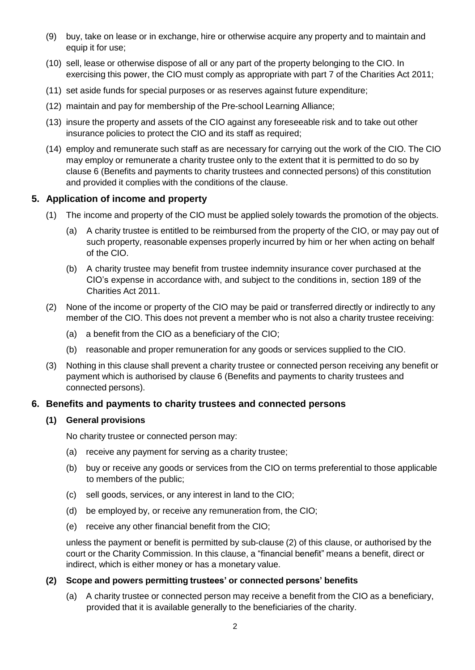- (9) buy, take on lease or in exchange, hire or otherwise acquire any property and to maintain and equip it for use;
- (10) sell, lease or otherwise dispose of all or any part of the property belonging to the CIO. In exercising this power, the CIO must comply as appropriate with part 7 of the Charities Act 2011;
- (11) set aside funds for special purposes or as reserves against future expenditure;
- (12) maintain and pay for membership of the Pre-school Learning Alliance;
- (13) insure the property and assets of the CIO against any foreseeable risk and to take out other insurance policies to protect the CIO and its staff as required;
- (14) employ and remunerate such staff as are necessary for carrying out the work of the CIO. The CIO may employ or remunerate a charity trustee only to the extent that it is permitted to do so by clause 6 (Benefits and payments to charity trustees and connected persons) of this constitution and provided it complies with the conditions of the clause.

## **5. Application of income and property**

- (1) The income and property of the CIO must be applied solely towards the promotion of the objects.
	- (a) A charity trustee is entitled to be reimbursed from the property of the CIO, or may pay out of such property, reasonable expenses properly incurred by him or her when acting on behalf of the CIO.
	- (b) A charity trustee may benefit from trustee indemnity insurance cover purchased at the CIO's expense in accordance with, and subject to the conditions in, section 189 of the Charities Act 2011.
- (2) None of the income or property of the CIO may be paid or transferred directly or indirectly to any member of the CIO. This does not prevent a member who is not also a charity trustee receiving:
	- (a) a benefit from the CIO as a beneficiary of the CIO;
	- (b) reasonable and proper remuneration for any goods or services supplied to the CIO.
- (3) Nothing in this clause shall prevent a charity trustee or connected person receiving any benefit or payment which is authorised by clause 6 (Benefits and payments to charity trustees and connected persons).

## **6. Benefits and payments to charity trustees and connected persons**

#### **(1) General provisions**

No charity trustee or connected person may:

- (a) receive any payment for serving as a charity trustee;
- (b) buy or receive any goods or services from the CIO on terms preferential to those applicable to members of the public;
- (c) sell goods, services, or any interest in land to the CIO;
- (d) be employed by, or receive any remuneration from, the CIO;
- (e) receive any other financial benefit from the CIO;

unless the payment or benefit is permitted by sub-clause (2) of this clause, or authorised by the court or the Charity Commission. In this clause, a "financial benefit" means a benefit, direct or indirect, which is either money or has a monetary value.

## **(2) Scope and powers permitting trustees' or connected persons' benefits**

(a) A charity trustee or connected person may receive a benefit from the CIO as a beneficiary, provided that it is available generally to the beneficiaries of the charity.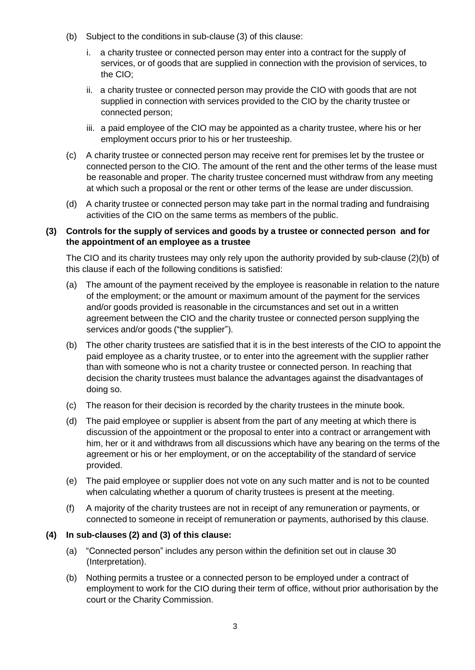- (b) Subject to the conditions in sub-clause (3) of this clause:
	- i. a charity trustee or connected person may enter into a contract for the supply of services, or of goods that are supplied in connection with the provision of services, to the CIO;
	- ii. a charity trustee or connected person may provide the CIO with goods that are not supplied in connection with services provided to the CIO by the charity trustee or connected person;
	- iii. a paid employee of the CIO may be appointed as a charity trustee, where his or her employment occurs prior to his or her trusteeship.
- (c) A charity trustee or connected person may receive rent for premises let by the trustee or connected person to the CIO. The amount of the rent and the other terms of the lease must be reasonable and proper. The charity trustee concerned must withdraw from any meeting at which such a proposal or the rent or other terms of the lease are under discussion.
- (d) A charity trustee or connected person may take part in the normal trading and fundraising activities of the CIO on the same terms as members of the public.

## **(3) Controls for the supply of services and goods by a trustee or connected person and for the appointment of an employee as a trustee**

The CIO and its charity trustees may only rely upon the authority provided by sub-clause (2)(b) of this clause if each of the following conditions is satisfied:

- (a) The amount of the payment received by the employee is reasonable in relation to the nature of the employment; or the amount or maximum amount of the payment for the services and/or goods provided is reasonable in the circumstances and set out in a written agreement between the CIO and the charity trustee or connected person supplying the services and/or goods ("the supplier").
- (b) The other charity trustees are satisfied that it is in the best interests of the CIO to appoint the paid employee as a charity trustee, or to enter into the agreement with the supplier rather than with someone who is not a charity trustee or connected person. In reaching that decision the charity trustees must balance the advantages against the disadvantages of doing so.
- (c) The reason for their decision is recorded by the charity trustees in the minute book.
- (d) The paid employee or supplier is absent from the part of any meeting at which there is discussion of the appointment or the proposal to enter into a contract or arrangement with him, her or it and withdraws from all discussions which have any bearing on the terms of the agreement or his or her employment, or on the acceptability of the standard of service provided.
- (e) The paid employee or supplier does not vote on any such matter and is not to be counted when calculating whether a quorum of charity trustees is present at the meeting.
- (f) A majority of the charity trustees are not in receipt of any remuneration or payments, or connected to someone in receipt of remuneration or payments, authorised by this clause.

## **(4) In sub-clauses (2) and (3) of this clause:**

- (a) "Connected person" includes any person within the definition set out in clause 30 (Interpretation).
- (b) Nothing permits a trustee or a connected person to be employed under a contract of employment to work for the CIO during their term of office, without prior authorisation by the court or the Charity Commission.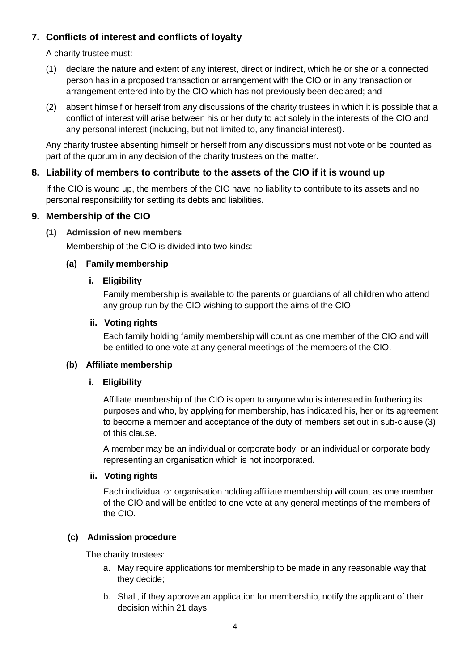# **7. Conflicts of interest and conflicts of loyalty**

A charity trustee must:

- (1) declare the nature and extent of any interest, direct or indirect, which he or she or a connected person has in a proposed transaction or arrangement with the CIO or in any transaction or arrangement entered into by the CIO which has not previously been declared; and
- (2) absent himself or herself from any discussions of the charity trustees in which it is possible that a conflict of interest will arise between his or her duty to act solely in the interests of the CIO and any personal interest (including, but not limited to, any financial interest).

Any charity trustee absenting himself or herself from any discussions must not vote or be counted as part of the quorum in any decision of the charity trustees on the matter.

## **8. Liability of members to contribute to the assets of the CIO if it is wound up**

If the CIO is wound up, the members of the CIO have no liability to contribute to its assets and no personal responsibility for settling its debts and liabilities.

## **9. Membership of the CIO**

#### **(1) Admission of new members**

Membership of the CIO is divided into two kinds:

#### **(a) Family membership**

#### **i. Eligibility**

Family membership is available to the parents or guardians of all children who attend any group run by the CIO wishing to support the aims of the CIO.

#### **ii. Voting rights**

Each family holding family membership will count as one member of the CIO and will be entitled to one vote at any general meetings of the members of the CIO.

#### **(b) Affiliate membership**

## **i. Eligibility**

Affiliate membership of the CIO is open to anyone who is interested in furthering its purposes and who, by applying for membership, has indicated his, her or its agreement to become a member and acceptance of the duty of members set out in sub-clause (3) of this clause.

A member may be an individual or corporate body, or an individual or corporate body representing an organisation which is not incorporated.

## **ii. Voting rights**

Each individual or organisation holding affiliate membership will count as one member of the CIO and will be entitled to one vote at any general meetings of the members of the CIO.

## **(c) Admission procedure**

The charity trustees:

- a. May require applications for membership to be made in any reasonable way that they decide;
- b. Shall, if they approve an application for membership, notify the applicant of their decision within 21 days;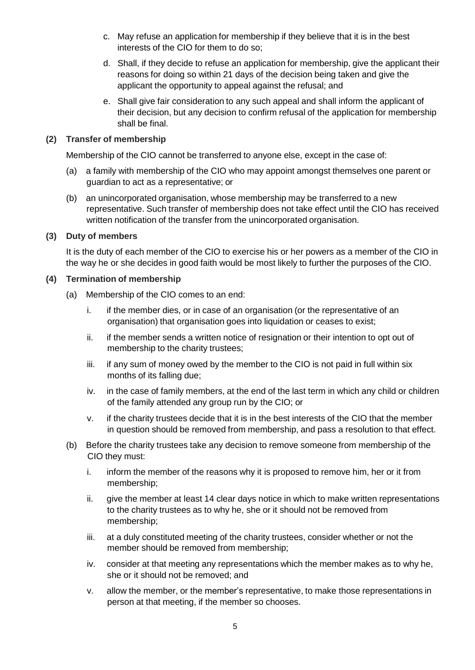- c. May refuse an application for membership if they believe that it is in the best interests of the CIO for them to do so;
- d. Shall, if they decide to refuse an application for membership, give the applicant their reasons for doing so within 21 days of the decision being taken and give the applicant the opportunity to appeal against the refusal; and
- e. Shall give fair consideration to any such appeal and shall inform the applicant of their decision, but any decision to confirm refusal of the application for membership shall be final.

#### **(2) Transfer of membership**

Membership of the CIO cannot be transferred to anyone else, except in the case of:

- (a) a family with membership of the CIO who may appoint amongst themselves one parent or guardian to act as a representative; or
- (b) an unincorporated organisation, whose membership may be transferred to a new representative. Such transfer of membership does not take effect until the CIO has received written notification of the transfer from the unincorporated organisation.

#### **(3) Duty of members**

It is the duty of each member of the CIO to exercise his or her powers as a member of the CIO in the way he or she decides in good faith would be most likely to further the purposes of the CIO.

#### **(4) Termination of membership**

- (a) Membership of the CIO comes to an end:
	- i. if the member dies, or in case of an organisation (or the representative of an organisation) that organisation goes into liquidation or ceases to exist;
	- ii. if the member sends a written notice of resignation or their intention to opt out of membership to the charity trustees;
	- iii. if any sum of money owed by the member to the CIO is not paid in full within six months of its falling due;
	- iv. in the case of family members, at the end of the last term in which any child or children of the family attended any group run by the CIO; or
	- v. if the charity trustees decide that it is in the best interests of the CIO that the member in question should be removed from membership, and pass a resolution to that effect.
- (b) Before the charity trustees take any decision to remove someone from membership of the CIO they must:
	- i. inform the member of the reasons why it is proposed to remove him, her or it from membership;
	- ii. give the member at least 14 clear days notice in which to make written representations to the charity trustees as to why he, she or it should not be removed from membership;
	- iii. at a duly constituted meeting of the charity trustees, consider whether or not the member should be removed from membership;
	- iv. consider at that meeting any representations which the member makes as to why he, she or it should not be removed; and
	- v. allow the member, or the member's representative, to make those representations in person at that meeting, if the member so chooses.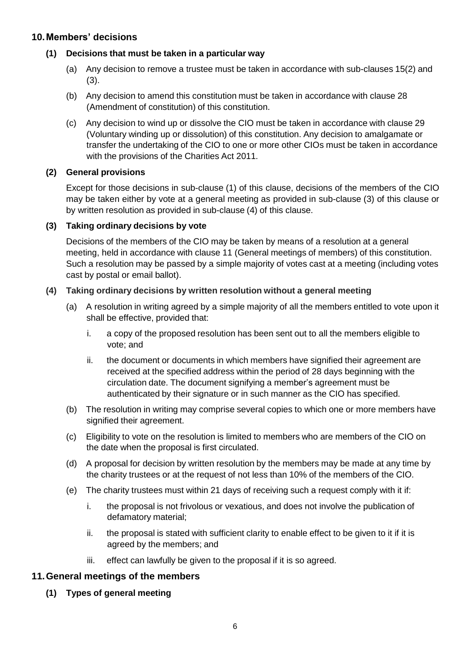## **10.Members' decisions**

#### **(1) Decisions that must be taken in a particular way**

- (a) Any decision to remove a trustee must be taken in accordance with sub-clauses 15(2) and (3).
- (b) Any decision to amend this constitution must be taken in accordance with clause 28 (Amendment of constitution) of this constitution.
- (c) Any decision to wind up or dissolve the CIO must be taken in accordance with clause 29 (Voluntary winding up or dissolution) of this constitution. Any decision to amalgamate or transfer the undertaking of the CIO to one or more other CIOs must be taken in accordance with the provisions of the Charities Act 2011.

#### **(2) General provisions**

Except for those decisions in sub-clause (1) of this clause, decisions of the members of the CIO may be taken either by vote at a general meeting as provided in sub-clause (3) of this clause or by written resolution as provided in sub-clause (4) of this clause.

#### **(3) Taking ordinary decisions by vote**

Decisions of the members of the CIO may be taken by means of a resolution at a general meeting, held in accordance with clause 11 (General meetings of members) of this constitution. Such a resolution may be passed by a simple majority of votes cast at a meeting (including votes cast by postal or email ballot).

#### **(4) Taking ordinary decisions by written resolution without a general meeting**

- (a) A resolution in writing agreed by a simple majority of all the members entitled to vote upon it shall be effective, provided that:
	- i. a copy of the proposed resolution has been sent out to all the members eligible to vote; and
	- ii. the document or documents in which members have signified their agreement are received at the specified address within the period of 28 days beginning with the circulation date. The document signifying a member's agreement must be authenticated by their signature or in such manner as the CIO has specified.
- (b) The resolution in writing may comprise several copies to which one or more members have signified their agreement.
- (c) Eligibility to vote on the resolution is limited to members who are members of the CIO on the date when the proposal is first circulated.
- (d) A proposal for decision by written resolution by the members may be made at any time by the charity trustees or at the request of not less than 10% of the members of the CIO.
- (e) The charity trustees must within 21 days of receiving such a request comply with it if:
	- i. the proposal is not frivolous or vexatious, and does not involve the publication of defamatory material;
	- ii. the proposal is stated with sufficient clarity to enable effect to be given to it if it is agreed by the members; and
	- iii. effect can lawfully be given to the proposal if it is so agreed.

## **11.General meetings of the members**

**(1) Types of general meeting**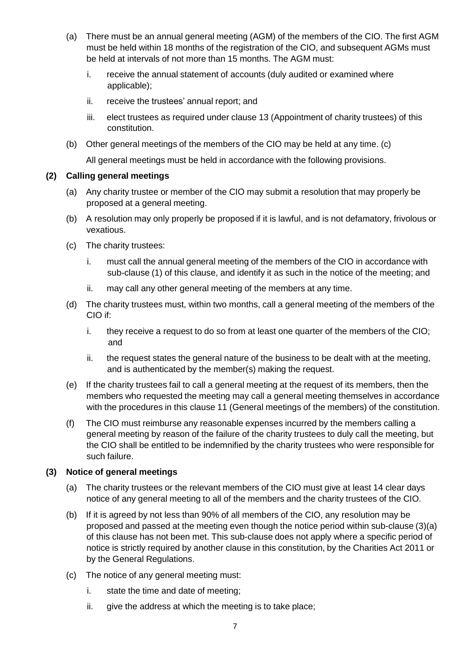- (a) There must be an annual general meeting (AGM) of the members of the CIO. The first AGM must be held within 18 months of the registration of the CIO, and subsequent AGMs must be held at intervals of not more than 15 months. The AGM must:
	- i. receive the annual statement of accounts (duly audited or examined where applicable);
	- ii. receive the trustees' annual report; and
	- iii. elect trustees as required under clause 13 (Appointment of charity trustees) of this constitution.
- (b) Other general meetings of the members of the CIO may be held at any time. (c)

All general meetings must be held in accordance with the following provisions.

#### **(2) Calling general meetings**

- (a) Any charity trustee or member of the CIO may submit a resolution that may properly be proposed at a general meeting.
- (b) A resolution may only properly be proposed if it is lawful, and is not defamatory, frivolous or vexatious.
- (c) The charity trustees:
	- i. must call the annual general meeting of the members of the CIO in accordance with sub-clause (1) of this clause, and identify it as such in the notice of the meeting; and
	- ii. may call any other general meeting of the members at any time.
- (d) The charity trustees must, within two months, call a general meeting of the members of the CIO if:
	- i. they receive a request to do so from at least one quarter of the members of the CIO; and
	- ii. the request states the general nature of the business to be dealt with at the meeting, and is authenticated by the member(s) making the request.
- (e) If the charity trustees fail to call a general meeting at the request of its members, then the members who requested the meeting may call a general meeting themselves in accordance with the procedures in this clause 11 (General meetings of the members) of the constitution.
- (f) The CIO must reimburse any reasonable expenses incurred by the members calling a general meeting by reason of the failure of the charity trustees to duly call the meeting, but the CIO shall be entitled to be indemnified by the charity trustees who were responsible for such failure.

## **(3) Notice of general meetings**

- (a) The charity trustees or the relevant members of the CIO must give at least 14 clear days notice of any general meeting to all of the members and the charity trustees of the CIO.
- (b) If it is agreed by not less than 90% of all members of the CIO, any resolution may be proposed and passed at the meeting even though the notice period within sub-clause (3)(a) of this clause has not been met. This sub-clause does not apply where a specific period of notice is strictly required by another clause in this constitution, by the Charities Act 2011 or by the General Regulations.
- (c) The notice of any general meeting must:
	- i. state the time and date of meeting;
	- ii. give the address at which the meeting is to take place;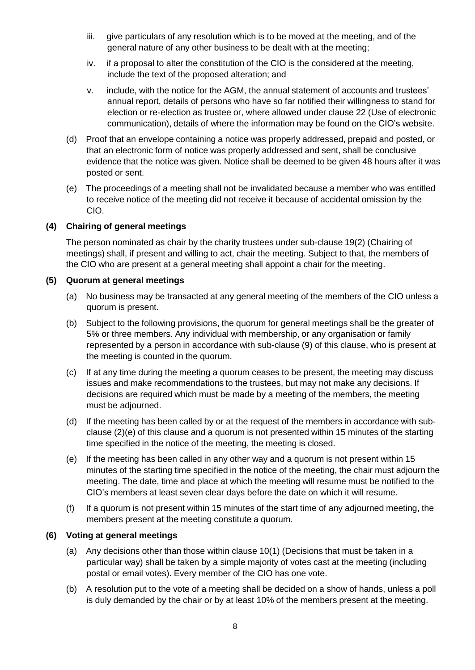- iii. give particulars of any resolution which is to be moved at the meeting, and of the general nature of any other business to be dealt with at the meeting;
- iv. if a proposal to alter the constitution of the CIO is the considered at the meeting, include the text of the proposed alteration; and
- v. include, with the notice for the AGM, the annual statement of accounts and trustees' annual report, details of persons who have so far notified their willingness to stand for election or re-election as trustee or, where allowed under clause 22 (Use of electronic communication), details of where the information may be found on the CIO's website.
- (d) Proof that an envelope containing a notice was properly addressed, prepaid and posted, or that an electronic form of notice was properly addressed and sent, shall be conclusive evidence that the notice was given. Notice shall be deemed to be given 48 hours after it was posted or sent.
- (e) The proceedings of a meeting shall not be invalidated because a member who was entitled to receive notice of the meeting did not receive it because of accidental omission by the CIO.

## **(4) Chairing of general meetings**

The person nominated as chair by the charity trustees under sub-clause 19(2) (Chairing of meetings) shall, if present and willing to act, chair the meeting. Subject to that, the members of the CIO who are present at a general meeting shall appoint a chair for the meeting.

#### **(5) Quorum at general meetings**

- (a) No business may be transacted at any general meeting of the members of the CIO unless a quorum is present.
- (b) Subject to the following provisions, the quorum for general meetings shall be the greater of 5% or three members. Any individual with membership, or any organisation or family represented by a person in accordance with sub-clause (9) of this clause, who is present at the meeting is counted in the quorum.
- (c) If at any time during the meeting a quorum ceases to be present, the meeting may discuss issues and make recommendations to the trustees, but may not make any decisions. If decisions are required which must be made by a meeting of the members, the meeting must be adjourned.
- (d) If the meeting has been called by or at the request of the members in accordance with subclause (2)(e) of this clause and a quorum is not presented within 15 minutes of the starting time specified in the notice of the meeting, the meeting is closed.
- (e) If the meeting has been called in any other way and a quorum is not present within 15 minutes of the starting time specified in the notice of the meeting, the chair must adjourn the meeting. The date, time and place at which the meeting will resume must be notified to the CIO's members at least seven clear days before the date on which it will resume.
- (f) If a quorum is not present within 15 minutes of the start time of any adjourned meeting, the members present at the meeting constitute a quorum.

## **(6) Voting at general meetings**

- (a) Any decisions other than those within clause 10(1) (Decisions that must be taken in a particular way) shall be taken by a simple majority of votes cast at the meeting (including postal or email votes). Every member of the CIO has one vote.
- (b) A resolution put to the vote of a meeting shall be decided on a show of hands, unless a poll is duly demanded by the chair or by at least 10% of the members present at the meeting.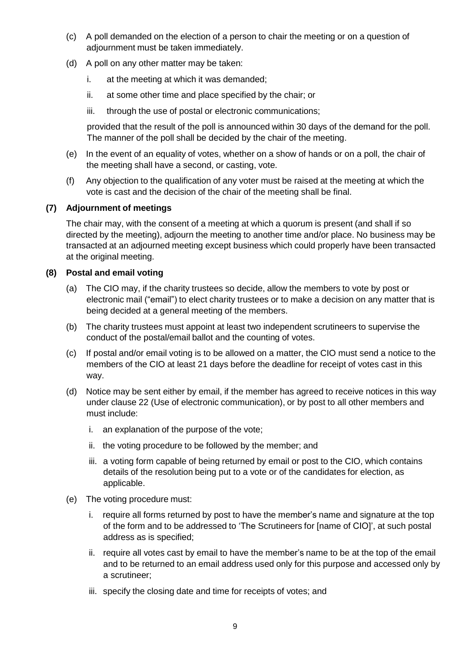- (c) A poll demanded on the election of a person to chair the meeting or on a question of adjournment must be taken immediately.
- (d) A poll on any other matter may be taken:
	- i. at the meeting at which it was demanded;
	- ii. at some other time and place specified by the chair; or
	- iii. through the use of postal or electronic communications;

provided that the result of the poll is announced within 30 days of the demand for the poll. The manner of the poll shall be decided by the chair of the meeting.

- (e) In the event of an equality of votes, whether on a show of hands or on a poll, the chair of the meeting shall have a second, or casting, vote.
- (f) Any objection to the qualification of any voter must be raised at the meeting at which the vote is cast and the decision of the chair of the meeting shall be final.

## **(7) Adjournment of meetings**

The chair may, with the consent of a meeting at which a quorum is present (and shall if so directed by the meeting), adjourn the meeting to another time and/or place. No business may be transacted at an adjourned meeting except business which could properly have been transacted at the original meeting.

#### **(8) Postal and email voting**

- (a) The CIO may, if the charity trustees so decide, allow the members to vote by post or electronic mail ("email") to elect charity trustees or to make a decision on any matter that is being decided at a general meeting of the members.
- (b) The charity trustees must appoint at least two independent scrutineers to supervise the conduct of the postal/email ballot and the counting of votes.
- (c) If postal and/or email voting is to be allowed on a matter, the CIO must send a notice to the members of the CIO at least 21 days before the deadline for receipt of votes cast in this way.
- (d) Notice may be sent either by email, if the member has agreed to receive notices in this way under clause 22 (Use of electronic communication), or by post to all other members and must include:
	- i. an explanation of the purpose of the vote;
	- ii. the voting procedure to be followed by the member; and
	- iii. a voting form capable of being returned by email or post to the CIO, which contains details of the resolution being put to a vote or of the candidates for election, as applicable.
- (e) The voting procedure must:
	- i. require all forms returned by post to have the member's name and signature at the top of the form and to be addressed to 'The Scrutineers for [name of CIO]', at such postal address as is specified;
	- ii. require all votes cast by email to have the member's name to be at the top of the email and to be returned to an email address used only for this purpose and accessed only by a scrutineer;
	- iii. specify the closing date and time for receipts of votes; and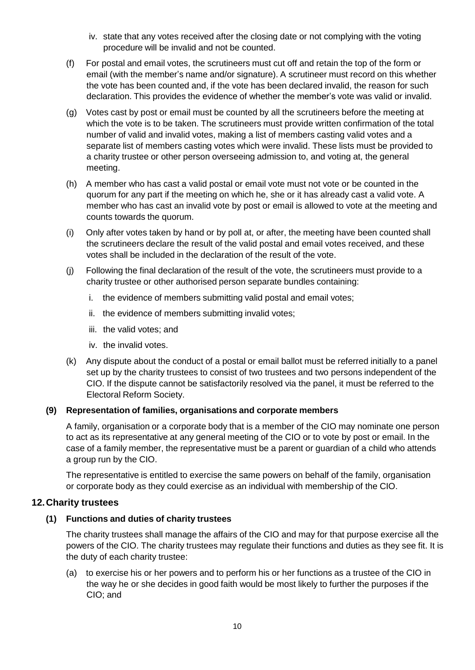- iv. state that any votes received after the closing date or not complying with the voting procedure will be invalid and not be counted.
- (f) For postal and email votes, the scrutineers must cut off and retain the top of the form or email (with the member's name and/or signature). A scrutineer must record on this whether the vote has been counted and, if the vote has been declared invalid, the reason for such declaration. This provides the evidence of whether the member's vote was valid or invalid.
- (g) Votes cast by post or email must be counted by all the scrutineers before the meeting at which the vote is to be taken. The scrutineers must provide written confirmation of the total number of valid and invalid votes, making a list of members casting valid votes and a separate list of members casting votes which were invalid. These lists must be provided to a charity trustee or other person overseeing admission to, and voting at, the general meeting.
- (h) A member who has cast a valid postal or email vote must not vote or be counted in the quorum for any part if the meeting on which he, she or it has already cast a valid vote. A member who has cast an invalid vote by post or email is allowed to vote at the meeting and counts towards the quorum.
- (i) Only after votes taken by hand or by poll at, or after, the meeting have been counted shall the scrutineers declare the result of the valid postal and email votes received, and these votes shall be included in the declaration of the result of the vote.
- (j) Following the final declaration of the result of the vote, the scrutineers must provide to a charity trustee or other authorised person separate bundles containing:
	- i. the evidence of members submitting valid postal and email votes;
	- ii. the evidence of members submitting invalid votes;
	- iii. the valid votes; and
	- iv. the invalid votes.
- (k) Any dispute about the conduct of a postal or email ballot must be referred initially to a panel set up by the charity trustees to consist of two trustees and two persons independent of the CIO. If the dispute cannot be satisfactorily resolved via the panel, it must be referred to the Electoral Reform Society.

## **(9) Representation of families, organisations and corporate members**

A family, organisation or a corporate body that is a member of the CIO may nominate one person to act as its representative at any general meeting of the CIO or to vote by post or email. In the case of a family member, the representative must be a parent or guardian of a child who attends a group run by the CIO.

The representative is entitled to exercise the same powers on behalf of the family, organisation or corporate body as they could exercise as an individual with membership of the CIO.

## **12.Charity trustees**

## **(1) Functions and duties of charity trustees**

The charity trustees shall manage the affairs of the CIO and may for that purpose exercise all the powers of the CIO. The charity trustees may regulate their functions and duties as they see fit. It is the duty of each charity trustee:

(a) to exercise his or her powers and to perform his or her functions as a trustee of the CIO in the way he or she decides in good faith would be most likely to further the purposes if the CIO; and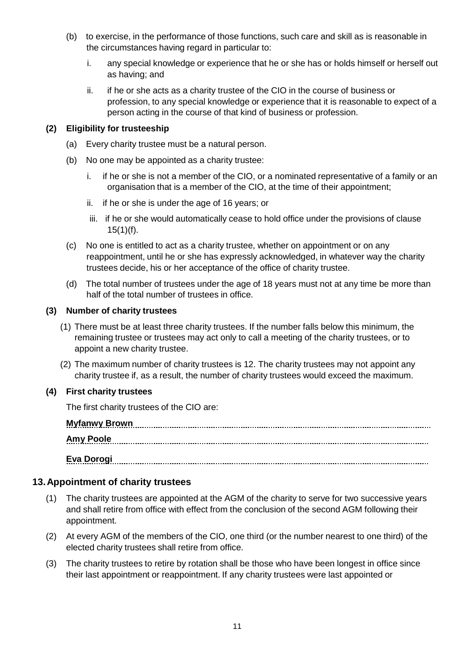- (b) to exercise, in the performance of those functions, such care and skill as is reasonable in the circumstances having regard in particular to:
	- i. any special knowledge or experience that he or she has or holds himself or herself out as having; and
	- ii. if he or she acts as a charity trustee of the CIO in the course of business or profession, to any special knowledge or experience that it is reasonable to expect of a person acting in the course of that kind of business or profession.

## **(2) Eligibility for trusteeship**

- (a) Every charity trustee must be a natural person.
- (b) No one may be appointed as a charity trustee:
	- i. if he or she is not a member of the CIO, or a nominated representative of a family or an organisation that is a member of the CIO, at the time of their appointment;
	- ii. if he or she is under the age of 16 years; or
	- iii. if he or she would automatically cease to hold office under the provisions of clause  $15(1)(f)$ .
- (c) No one is entitled to act as a charity trustee, whether on appointment or on any reappointment, until he or she has expressly acknowledged, in whatever way the charity trustees decide, his or her acceptance of the office of charity trustee.
- (d) The total number of trustees under the age of 18 years must not at any time be more than half of the total number of trustees in office.

#### **(3) Number of charity trustees**

- (1) There must be at least three charity trustees. If the number falls below this minimum, the remaining trustee or trustees may act only to call a meeting of the charity trustees, or to appoint a new charity trustee.
- (2) The maximum number of charity trustees is 12. The charity trustees may not appoint any charity trustee if, as a result, the number of charity trustees would exceed the maximum.

## **(4) First charity trustees**

The first charity trustees of the CIO are:

| <u>Amy Poole</u> |  |
|------------------|--|
| Eva Dorogi       |  |

# **13.Appointment of charity trustees**

- (1) The charity trustees are appointed at the AGM of the charity to serve for two successive years and shall retire from office with effect from the conclusion of the second AGM following their appointment.
- (2) At every AGM of the members of the CIO, one third (or the number nearest to one third) of the elected charity trustees shall retire from office.
- (3) The charity trustees to retire by rotation shall be those who have been longest in office since their last appointment or reappointment. If any charity trustees were last appointed or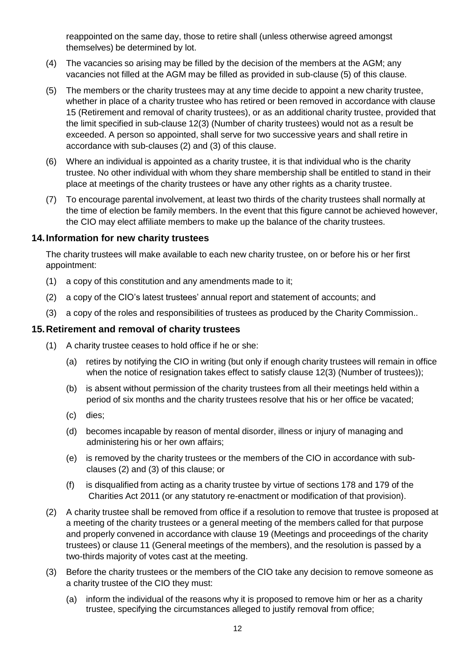reappointed on the same day, those to retire shall (unless otherwise agreed amongst themselves) be determined by lot.

- (4) The vacancies so arising may be filled by the decision of the members at the AGM; any vacancies not filled at the AGM may be filled as provided in sub-clause (5) of this clause.
- (5) The members or the charity trustees may at any time decide to appoint a new charity trustee, whether in place of a charity trustee who has retired or been removed in accordance with clause 15 (Retirement and removal of charity trustees), or as an additional charity trustee, provided that the limit specified in sub-clause 12(3) (Number of charity trustees) would not as a result be exceeded. A person so appointed, shall serve for two successive years and shall retire in accordance with sub-clauses (2) and (3) of this clause.
- (6) Where an individual is appointed as a charity trustee, it is that individual who is the charity trustee. No other individual with whom they share membership shall be entitled to stand in their place at meetings of the charity trustees or have any other rights as a charity trustee.
- (7) To encourage parental involvement, at least two thirds of the charity trustees shall normally at the time of election be family members. In the event that this figure cannot be achieved however, the CIO may elect affiliate members to make up the balance of the charity trustees.

#### **14.Information for new charity trustees**

The charity trustees will make available to each new charity trustee, on or before his or her first appointment:

- (1) a copy of this constitution and any amendments made to it;
- (2) a copy of the CIO's latest trustees' annual report and statement of accounts; and
- (3) a copy of the roles and responsibilities of trustees as produced by the Charity Commission..

## **15.Retirement and removal of charity trustees**

- (1) A charity trustee ceases to hold office if he or she:
	- (a) retires by notifying the CIO in writing (but only if enough charity trustees will remain in office when the notice of resignation takes effect to satisfy clause 12(3) (Number of trustees));
	- (b) is absent without permission of the charity trustees from all their meetings held within a period of six months and the charity trustees resolve that his or her office be vacated;
	- (c) dies;
	- (d) becomes incapable by reason of mental disorder, illness or injury of managing and administering his or her own affairs;
	- (e) is removed by the charity trustees or the members of the CIO in accordance with subclauses (2) and (3) of this clause; or
	- (f) is disqualified from acting as a charity trustee by virtue of sections 178 and 179 of the Charities Act 2011 (or any statutory re-enactment or modification of that provision).
- (2) A charity trustee shall be removed from office if a resolution to remove that trustee is proposed at a meeting of the charity trustees or a general meeting of the members called for that purpose and properly convened in accordance with clause 19 (Meetings and proceedings of the charity trustees) or clause 11 (General meetings of the members), and the resolution is passed by a two-thirds majority of votes cast at the meeting.
- (3) Before the charity trustees or the members of the CIO take any decision to remove someone as a charity trustee of the CIO they must:
	- (a) inform the individual of the reasons why it is proposed to remove him or her as a charity trustee, specifying the circumstances alleged to justify removal from office;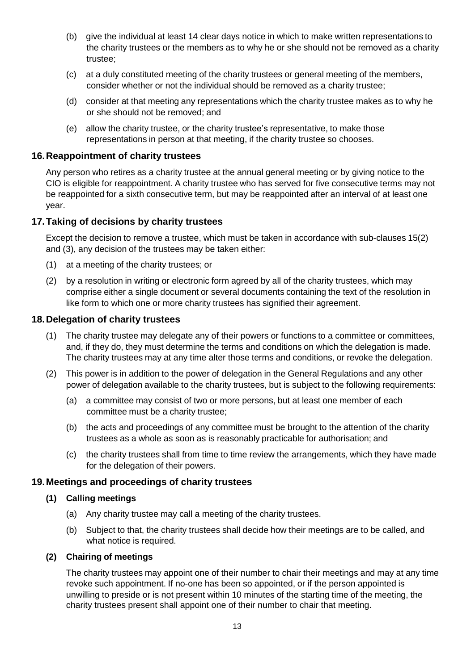- (b) give the individual at least 14 clear days notice in which to make written representations to the charity trustees or the members as to why he or she should not be removed as a charity trustee;
- (c) at a duly constituted meeting of the charity trustees or general meeting of the members, consider whether or not the individual should be removed as a charity trustee;
- (d) consider at that meeting any representations which the charity trustee makes as to why he or she should not be removed; and
- (e) allow the charity trustee, or the charity trustee's representative, to make those representations in person at that meeting, if the charity trustee so chooses.

## **16.Reappointment of charity trustees**

Any person who retires as a charity trustee at the annual general meeting or by giving notice to the CIO is eligible for reappointment. A charity trustee who has served for five consecutive terms may not be reappointed for a sixth consecutive term, but may be reappointed after an interval of at least one year.

## **17.Taking of decisions by charity trustees**

Except the decision to remove a trustee, which must be taken in accordance with sub-clauses 15(2) and (3), any decision of the trustees may be taken either:

- (1) at a meeting of the charity trustees; or
- (2) by a resolution in writing or electronic form agreed by all of the charity trustees, which may comprise either a single document or several documents containing the text of the resolution in like form to which one or more charity trustees has signified their agreement.

## **18.Delegation of charity trustees**

- (1) The charity trustee may delegate any of their powers or functions to a committee or committees, and, if they do, they must determine the terms and conditions on which the delegation is made. The charity trustees may at any time alter those terms and conditions, or revoke the delegation.
- (2) This power is in addition to the power of delegation in the General Regulations and any other power of delegation available to the charity trustees, but is subject to the following requirements:
	- (a) a committee may consist of two or more persons, but at least one member of each committee must be a charity trustee;
	- (b) the acts and proceedings of any committee must be brought to the attention of the charity trustees as a whole as soon as is reasonably practicable for authorisation; and
	- (c) the charity trustees shall from time to time review the arrangements, which they have made for the delegation of their powers.

## **19.Meetings and proceedings of charity trustees**

#### **(1) Calling meetings**

- (a) Any charity trustee may call a meeting of the charity trustees.
- (b) Subject to that, the charity trustees shall decide how their meetings are to be called, and what notice is required.

#### **(2) Chairing of meetings**

The charity trustees may appoint one of their number to chair their meetings and may at any time revoke such appointment. If no-one has been so appointed, or if the person appointed is unwilling to preside or is not present within 10 minutes of the starting time of the meeting, the charity trustees present shall appoint one of their number to chair that meeting.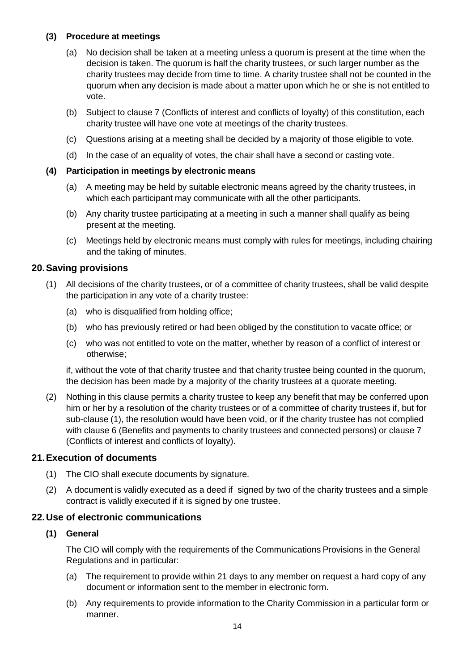## **(3) Procedure at meetings**

- (a) No decision shall be taken at a meeting unless a quorum is present at the time when the decision is taken. The quorum is half the charity trustees, or such larger number as the charity trustees may decide from time to time. A charity trustee shall not be counted in the quorum when any decision is made about a matter upon which he or she is not entitled to vote.
- (b) Subject to clause 7 (Conflicts of interest and conflicts of loyalty) of this constitution, each charity trustee will have one vote at meetings of the charity trustees.
- (c) Questions arising at a meeting shall be decided by a majority of those eligible to vote.
- (d) In the case of an equality of votes, the chair shall have a second or casting vote.

## **(4) Participation in meetings by electronic means**

- (a) A meeting may be held by suitable electronic means agreed by the charity trustees, in which each participant may communicate with all the other participants.
- (b) Any charity trustee participating at a meeting in such a manner shall qualify as being present at the meeting.
- (c) Meetings held by electronic means must comply with rules for meetings, including chairing and the taking of minutes.

#### **20.Saving provisions**

- (1) All decisions of the charity trustees, or of a committee of charity trustees, shall be valid despite the participation in any vote of a charity trustee:
	- (a) who is disqualified from holding office;
	- (b) who has previously retired or had been obliged by the constitution to vacate office; or
	- (c) who was not entitled to vote on the matter, whether by reason of a conflict of interest or otherwise;

if, without the vote of that charity trustee and that charity trustee being counted in the quorum, the decision has been made by a majority of the charity trustees at a quorate meeting.

(2) Nothing in this clause permits a charity trustee to keep any benefit that may be conferred upon him or her by a resolution of the charity trustees or of a committee of charity trustees if, but for sub-clause (1), the resolution would have been void, or if the charity trustee has not complied with clause 6 (Benefits and payments to charity trustees and connected persons) or clause 7 (Conflicts of interest and conflicts of loyalty).

## **21.Execution of documents**

- (1) The CIO shall execute documents by signature.
- (2) A document is validly executed as a deed if signed by two of the charity trustees and a simple contract is validly executed if it is signed by one trustee.

## **22.Use of electronic communications**

#### **(1) General**

The CIO will comply with the requirements of the Communications Provisions in the General Regulations and in particular:

- (a) The requirement to provide within 21 days to any member on request a hard copy of any document or information sent to the member in electronic form.
- (b) Any requirements to provide information to the Charity Commission in a particular form or manner.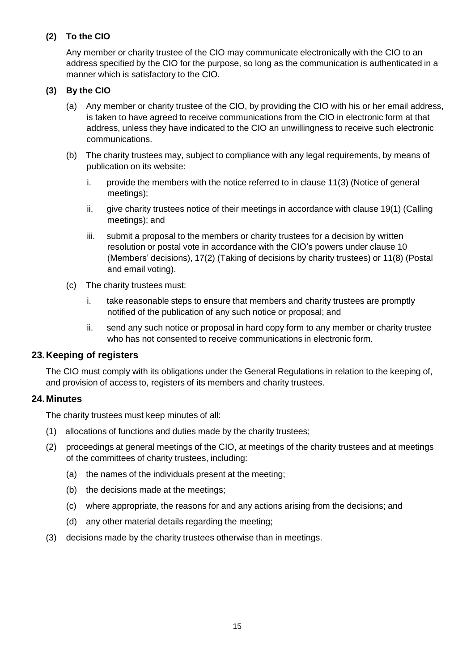## **(2) To the CIO**

Any member or charity trustee of the CIO may communicate electronically with the CIO to an address specified by the CIO for the purpose, so long as the communication is authenticated in a manner which is satisfactory to the CIO.

## **(3) By the CIO**

- (a) Any member or charity trustee of the CIO, by providing the CIO with his or her email address, is taken to have agreed to receive communications from the CIO in electronic form at that address, unless they have indicated to the CIO an unwillingness to receive such electronic communications.
- (b) The charity trustees may, subject to compliance with any legal requirements, by means of publication on its website:
	- i. provide the members with the notice referred to in clause 11(3) (Notice of general meetings);
	- ii. give charity trustees notice of their meetings in accordance with clause 19(1) (Calling meetings); and
	- iii. submit a proposal to the members or charity trustees for a decision by written resolution or postal vote in accordance with the CIO's powers under clause 10 (Members' decisions), 17(2) (Taking of decisions by charity trustees) or 11(8) (Postal and email voting).
- (c) The charity trustees must:
	- i. take reasonable steps to ensure that members and charity trustees are promptly notified of the publication of any such notice or proposal; and
	- ii. send any such notice or proposal in hard copy form to any member or charity trustee who has not consented to receive communications in electronic form.

## **23.Keeping of registers**

The CIO must comply with its obligations under the General Regulations in relation to the keeping of, and provision of access to, registers of its members and charity trustees.

## **24.Minutes**

The charity trustees must keep minutes of all:

- (1) allocations of functions and duties made by the charity trustees;
- (2) proceedings at general meetings of the CIO, at meetings of the charity trustees and at meetings of the committees of charity trustees, including:
	- (a) the names of the individuals present at the meeting;
	- (b) the decisions made at the meetings;
	- (c) where appropriate, the reasons for and any actions arising from the decisions; and
	- (d) any other material details regarding the meeting;
- (3) decisions made by the charity trustees otherwise than in meetings.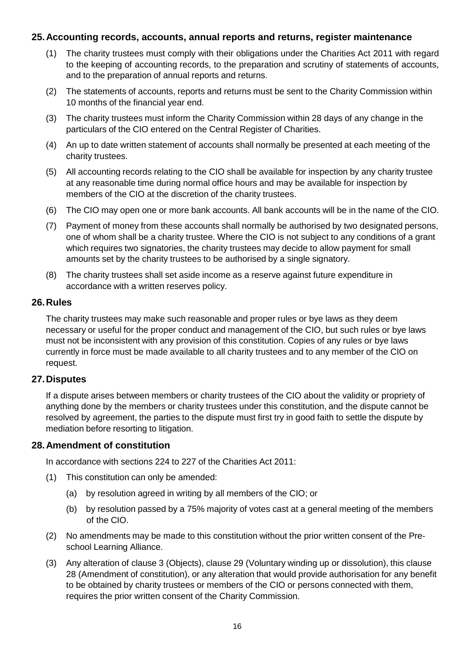## **25.Accounting records, accounts, annual reports and returns, register maintenance**

- (1) The charity trustees must comply with their obligations under the Charities Act 2011 with regard to the keeping of accounting records, to the preparation and scrutiny of statements of accounts, and to the preparation of annual reports and returns.
- (2) The statements of accounts, reports and returns must be sent to the Charity Commission within 10 months of the financial year end.
- (3) The charity trustees must inform the Charity Commission within 28 days of any change in the particulars of the CIO entered on the Central Register of Charities.
- (4) An up to date written statement of accounts shall normally be presented at each meeting of the charity trustees.
- (5) All accounting records relating to the CIO shall be available for inspection by any charity trustee at any reasonable time during normal office hours and may be available for inspection by members of the CIO at the discretion of the charity trustees.
- (6) The CIO may open one or more bank accounts. All bank accounts will be in the name of the CIO.
- (7) Payment of money from these accounts shall normally be authorised by two designated persons, one of whom shall be a charity trustee. Where the CIO is not subject to any conditions of a grant which requires two signatories, the charity trustees may decide to allow payment for small amounts set by the charity trustees to be authorised by a single signatory.
- (8) The charity trustees shall set aside income as a reserve against future expenditure in accordance with a written reserves policy.

#### **26.Rules**

The charity trustees may make such reasonable and proper rules or bye laws as they deem necessary or useful for the proper conduct and management of the CIO, but such rules or bye laws must not be inconsistent with any provision of this constitution. Copies of any rules or bye laws currently in force must be made available to all charity trustees and to any member of the CIO on request.

## **27.Disputes**

If a dispute arises between members or charity trustees of the CIO about the validity or propriety of anything done by the members or charity trustees under this constitution, and the dispute cannot be resolved by agreement, the parties to the dispute must first try in good faith to settle the dispute by mediation before resorting to litigation.

## **28.Amendment of constitution**

In accordance with sections 224 to 227 of the Charities Act 2011:

- (1) This constitution can only be amended:
	- (a) by resolution agreed in writing by all members of the CIO; or
	- (b) by resolution passed by a 75% majority of votes cast at a general meeting of the members of the CIO.
- (2) No amendments may be made to this constitution without the prior written consent of the Preschool Learning Alliance.
- (3) Any alteration of clause 3 (Objects), clause 29 (Voluntary winding up or dissolution), this clause 28 (Amendment of constitution), or any alteration that would provide authorisation for any benefit to be obtained by charity trustees or members of the CIO or persons connected with them, requires the prior written consent of the Charity Commission.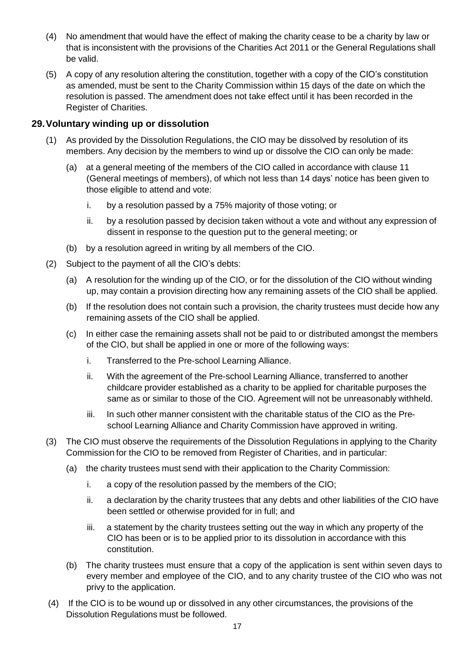- (4) No amendment that would have the effect of making the charity cease to be a charity by law or that is inconsistent with the provisions of the Charities Act 2011 or the General Regulations shall be valid.
- (5) A copy of any resolution altering the constitution, together with a copy of the CIO's constitution as amended, must be sent to the Charity Commission within 15 days of the date on which the resolution is passed. The amendment does not take effect until it has been recorded in the Register of Charities.

## **29.Voluntary winding up or dissolution**

- (1) As provided by the Dissolution Regulations, the CIO may be dissolved by resolution of its members. Any decision by the members to wind up or dissolve the CIO can only be made:
	- (a) at a general meeting of the members of the CIO called in accordance with clause 11 (General meetings of members), of which not less than 14 days' notice has been given to those eligible to attend and vote:
		- i. by a resolution passed by a 75% majority of those voting; or
		- ii. by a resolution passed by decision taken without a vote and without any expression of dissent in response to the question put to the general meeting; or
	- (b) by a resolution agreed in writing by all members of the CIO.
- (2) Subject to the payment of all the CIO's debts:
	- (a) A resolution for the winding up of the CIO, or for the dissolution of the CIO without winding up, may contain a provision directing how any remaining assets of the CIO shall be applied.
	- (b) If the resolution does not contain such a provision, the charity trustees must decide how any remaining assets of the CIO shall be applied.
	- (c) In either case the remaining assets shall not be paid to or distributed amongst the members of the CIO, but shall be applied in one or more of the following ways:
		- i. Transferred to the Pre-school Learning Alliance.
		- ii. With the agreement of the Pre-school Learning Alliance, transferred to another childcare provider established as a charity to be applied for charitable purposes the same as or similar to those of the CIO. Agreement will not be unreasonably withheld.
		- iii. In such other manner consistent with the charitable status of the CIO as the Preschool Learning Alliance and Charity Commission have approved in writing.
- (3) The CIO must observe the requirements of the Dissolution Regulations in applying to the Charity Commission for the CIO to be removed from Register of Charities, and in particular:
	- (a) the charity trustees must send with their application to the Charity Commission:
		- i. a copy of the resolution passed by the members of the CIO;
		- ii. a declaration by the charity trustees that any debts and other liabilities of the CIO have been settled or otherwise provided for in full; and
		- iii. a statement by the charity trustees setting out the way in which any property of the CIO has been or is to be applied prior to its dissolution in accordance with this constitution.
	- (b) The charity trustees must ensure that a copy of the application is sent within seven days to every member and employee of the CIO, and to any charity trustee of the CIO who was not privy to the application.
- (4) If the CIO is to be wound up or dissolved in any other circumstances, the provisions of the Dissolution Regulations must be followed.